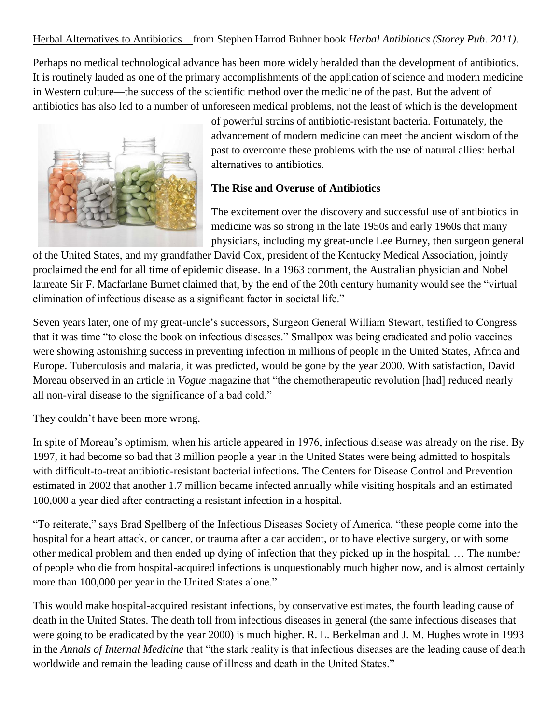# Herbal Alternatives to Antibiotics – from Stephen Harrod Buhner book *Herbal Antibiotics (Storey Pub. 2011)*.

Perhaps no medical technological advance has been more widely heralded than the development of antibiotics. It is routinely lauded as one of the primary accomplishments of the application of science and modern medicine in Western culture—the success of the scientific method over the medicine of the past. But the advent of antibiotics has also led to a number of unforeseen medical problems, not the least of which is the development



of powerful strains of antibiotic-resistant bacteria. Fortunately, the advancement of modern medicine can meet the ancient wisdom of the past to overcome these problems with the use of natural allies: herbal alternatives to antibiotics.

#### **The Rise and Overuse of Antibiotics**

The excitement over the discovery and successful use of antibiotics in medicine was so strong in the late 1950s and early 1960s that many physicians, including my great-uncle Lee Burney, then surgeon general

of the United States, and my grandfather David Cox, president of the Kentucky Medical Association, jointly proclaimed the end for all time of epidemic disease. In a 1963 comment, the Australian physician and Nobel laureate Sir F. Macfarlane Burnet claimed that, by the end of the 20th century humanity would see the "virtual elimination of infectious disease as a significant factor in societal life."

Seven years later, one of my great-uncle's successors, Surgeon General William Stewart, testified to Congress that it was time "to close the book on infectious diseases." Smallpox was being eradicated and polio vaccines were showing astonishing success in preventing infection in millions of people in the United States, Africa and Europe. Tuberculosis and malaria, it was predicted, would be gone by the year 2000. With satisfaction, David Moreau observed in an article in *Vogue* magazine that "the chemotherapeutic revolution [had] reduced nearly all non-viral disease to the significance of a bad cold."

They couldn't have been more wrong.

In spite of Moreau's optimism, when his article appeared in 1976, infectious disease was already on the rise. By 1997, it had become so bad that 3 million people a year in the United States were being admitted to hospitals with difficult-to-treat antibiotic-resistant bacterial infections. The Centers for Disease Control and Prevention estimated in 2002 that another 1.7 million became infected annually while visiting hospitals and an estimated 100,000 a year died after contracting a resistant infection in a hospital.

"To reiterate," says Brad Spellberg of the Infectious Diseases Society of America, "these people come into the hospital for a heart attack, or cancer, or trauma after a car accident, or to have elective surgery, or with some other medical problem and then ended up dying of infection that they picked up in the hospital. … The number of people who die from hospital-acquired infections is unquestionably much higher now, and is almost certainly more than 100,000 per year in the United States alone."

This would make hospital-acquired resistant infections, by conservative estimates, the fourth leading cause of death in the United States. The death toll from infectious diseases in general (the same infectious diseases that were going to be eradicated by the year 2000) is much higher. R. L. Berkelman and J. M. Hughes wrote in 1993 in the *Annals of Internal Medicine* that "the stark reality is that infectious diseases are the leading cause of death worldwide and remain the leading cause of illness and death in the United States."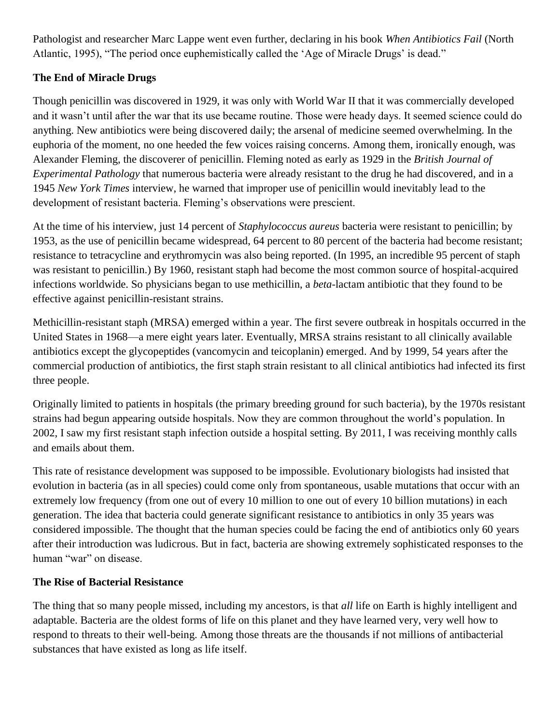Pathologist and researcher Marc Lappe went even further, declaring in his book *When Antibiotics Fail* (North Atlantic, 1995), "The period once euphemistically called the 'Age of Miracle Drugs' is dead."

# **The End of Miracle Drugs**

Though penicillin was discovered in 1929, it was only with World War II that it was commercially developed and it wasn't until after the war that its use became routine. Those were heady days. It seemed science could do anything. New antibiotics were being discovered daily; the arsenal of medicine seemed overwhelming. In the euphoria of the moment, no one heeded the few voices raising concerns. Among them, ironically enough, was Alexander Fleming, the discoverer of penicillin. Fleming noted as early as 1929 in the *British Journal of Experimental Pathology* that numerous bacteria were already resistant to the drug he had discovered, and in a 1945 *New York Times* interview, he warned that improper use of penicillin would inevitably lead to the development of resistant bacteria. Fleming's observations were prescient.

At the time of his interview, just 14 percent of *Staphylococcus aureus* bacteria were resistant to penicillin; by 1953, as the use of penicillin became widespread, 64 percent to 80 percent of the bacteria had become resistant; resistance to tetracycline and erythromycin was also being reported. (In 1995, an incredible 95 percent of staph was resistant to penicillin.) By 1960, resistant staph had become the most common source of hospital-acquired infections worldwide. So physicians began to use methicillin, a *beta*-lactam antibiotic that they found to be effective against penicillin-resistant strains.

Methicillin-resistant staph (MRSA) emerged within a year. The first severe outbreak in hospitals occurred in the United States in 1968—a mere eight years later. Eventually, MRSA strains resistant to all clinically available antibiotics except the glycopeptides (vancomycin and teicoplanin) emerged. And by 1999, 54 years after the commercial production of antibiotics, the first staph strain resistant to all clinical antibiotics had infected its first three people.

Originally limited to patients in hospitals (the primary breeding ground for such bacteria), by the 1970s resistant strains had begun appearing outside hospitals. Now they are common throughout the world's population. In 2002, I saw my first resistant staph infection outside a hospital setting. By 2011, I was receiving monthly calls and emails about them.

This rate of resistance development was supposed to be impossible. Evolutionary biologists had insisted that evolution in bacteria (as in all species) could come only from spontaneous, usable mutations that occur with an extremely low frequency (from one out of every 10 million to one out of every 10 billion mutations) in each generation. The idea that bacteria could generate significant resistance to antibiotics in only 35 years was considered impossible. The thought that the human species could be facing the end of antibiotics only 60 years after their introduction was ludicrous. But in fact, bacteria are showing extremely sophisticated responses to the human "war" on disease.

### **The Rise of Bacterial Resistance**

The thing that so many people missed, including my ancestors, is that *all* life on Earth is highly intelligent and adaptable. Bacteria are the oldest forms of life on this planet and they have learned very, very well how to respond to threats to their well-being. Among those threats are the thousands if not millions of antibacterial substances that have existed as long as life itself.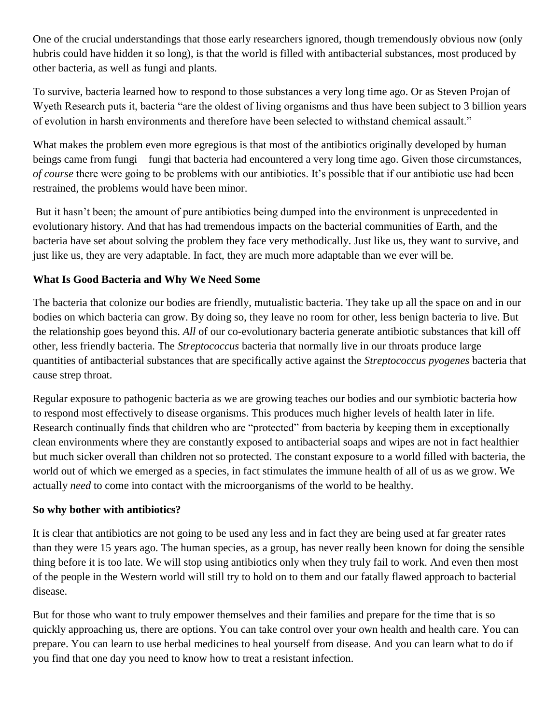One of the crucial understandings that those early researchers ignored, though tremendously obvious now (only hubris could have hidden it so long), is that the world is filled with antibacterial substances, most produced by other bacteria, as well as fungi and plants.

To survive, bacteria learned how to respond to those substances a very long time ago. Or as Steven Projan of Wyeth Research puts it, bacteria "are the oldest of living organisms and thus have been subject to 3 billion years of evolution in harsh environments and therefore have been selected to withstand chemical assault."

What makes the problem even more egregious is that most of the antibiotics originally developed by human beings came from fungi—fungi that bacteria had encountered a very long time ago. Given those circumstances, *of course* there were going to be problems with our antibiotics. It's possible that if our antibiotic use had been restrained, the problems would have been minor.

But it hasn't been; the amount of pure antibiotics being dumped into the environment is unprecedented in evolutionary history. And that has had tremendous impacts on the bacterial communities of Earth, and the bacteria have set about solving the problem they face very methodically. Just like us, they want to survive, and just like us, they are very adaptable. In fact, they are much more adaptable than we ever will be.

# **What Is Good Bacteria and Why We Need Some**

The bacteria that colonize our bodies are friendly, mutualistic bacteria. They take up all the space on and in our bodies on which bacteria can grow. By doing so, they leave no room for other, less benign bacteria to live. But the relationship goes beyond this. *All* of our co-evolutionary bacteria generate antibiotic substances that kill off other, less friendly bacteria. The *Streptococcus* bacteria that normally live in our throats produce large quantities of antibacterial substances that are specifically active against the *Streptococcus pyogenes* bacteria that cause strep throat.

Regular exposure to pathogenic bacteria as we are growing teaches our bodies and our symbiotic bacteria how to respond most effectively to disease organisms. This produces much higher levels of health later in life. Research continually finds that children who are "protected" from bacteria by keeping them in exceptionally clean environments where they are constantly exposed to antibacterial soaps and wipes are not in fact healthier but much sicker overall than children not so protected. The constant exposure to a world filled with bacteria, the world out of which we emerged as a species, in fact stimulates the immune health of all of us as we grow. We actually *need* to come into contact with the microorganisms of the world to be healthy.

### **So why bother with antibiotics?**

It is clear that antibiotics are not going to be used any less and in fact they are being used at far greater rates than they were 15 years ago. The human species, as a group, has never really been known for doing the sensible thing before it is too late. We will stop using antibiotics only when they truly fail to work. And even then most of the people in the Western world will still try to hold on to them and our fatally flawed approach to bacterial disease.

But for those who want to truly empower themselves and their families and prepare for the time that is so quickly approaching us, there are options. You can take control over your own health and health care. You can prepare. You can learn to use herbal medicines to heal yourself from disease. And you can learn what to do if you find that one day you need to know how to treat a resistant infection.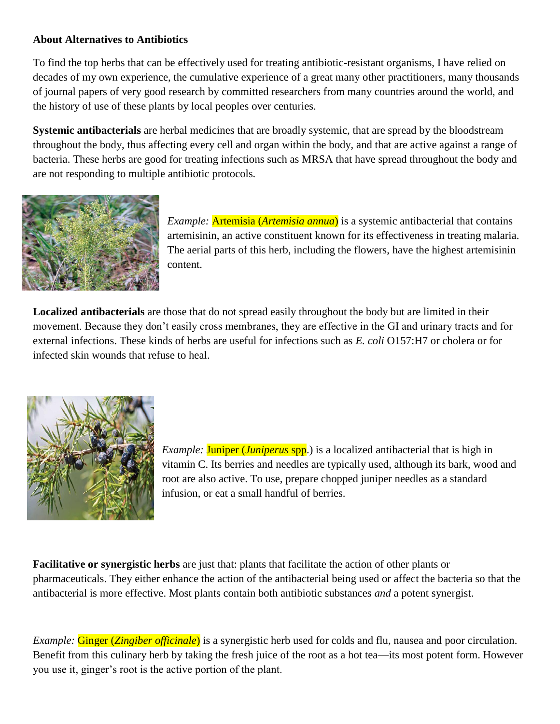### **About Alternatives to Antibiotics**

To find the top herbs that can be effectively used for treating antibiotic-resistant organisms, I have relied on decades of my own experience, the cumulative experience of a great many other practitioners, many thousands of journal papers of very good research by committed researchers from many countries around the world, and the history of use of these plants by local peoples over centuries.

**Systemic antibacterials** are herbal medicines that are broadly systemic, that are spread by the bloodstream throughout the body, thus affecting every cell and organ within the body, and that are active against a range of bacteria. These herbs are good for treating infections such as MRSA that have spread throughout the body and are not responding to multiple antibiotic protocols.



*Example:* Artemisia (*Artemisia annua*) is a systemic antibacterial that contains artemisinin, an active constituent known for its effectiveness in treating malaria. The aerial parts of this herb, including the flowers, have the highest artemisinin content.

**Localized antibacterials** are those that do not spread easily throughout the body but are limited in their movement. Because they don't easily cross membranes, they are effective in the GI and urinary tracts and for external infections. These kinds of herbs are useful for infections such as *E. coli* O157:H7 or cholera or for infected skin wounds that refuse to heal.



*Example:* **Juniper** (*Juniperus* spp.) is a localized antibacterial that is high in vitamin C. Its berries and needles are typically used, although its bark, wood and root are also active. To use, prepare chopped juniper needles as a standard infusion, or eat a small handful of berries.

**Facilitative or synergistic herbs** are just that: plants that facilitate the action of other plants or pharmaceuticals. They either enhance the action of the antibacterial being used or affect the bacteria so that the antibacterial is more effective. Most plants contain both antibiotic substances *and* a potent synergist.

*Example:* Ginger (*Zingiber officinale*) is a synergistic herb used for colds and flu, nausea and poor circulation. Benefit from this culinary herb by taking the fresh juice of the root as a hot tea—its most potent form. However you use it, ginger's root is the active portion of the plant.